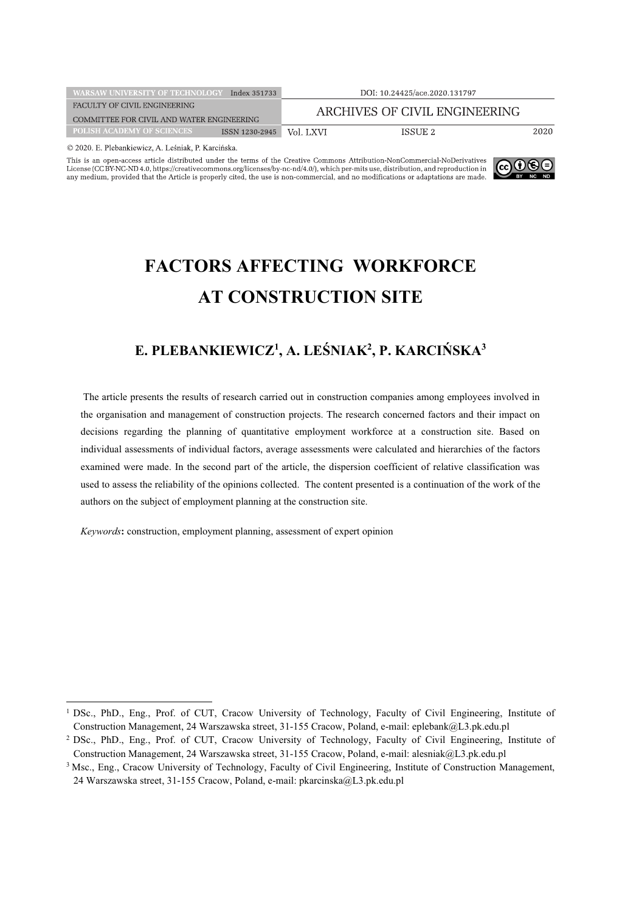| <b>WARSAW UNIVERSITY OF TECHNOLOGY</b>    | Index 351733   | DOI: 10.24425/ace.2020.131797 |         |  |
|-------------------------------------------|----------------|-------------------------------|---------|--|
| FACULTY OF CIVIL ENGINEERING              |                | ARCHIVES OF CIVIL ENGINEERING |         |  |
| COMMITTEE FOR CIVIL AND WATER ENGINEERING |                |                               |         |  |
| <b>POLISH ACADEMY OF SCIENCES</b>         | ISSN 1230-2945 | Vol. LXVI                     | ISSUE 2 |  |
|                                           |                |                               |         |  |

© 2020. E. Plebankiewicz, A. Leśniak, P. Karcińska.

This is an open-access article distributed under the terms of the Creative Commons Attribution-NonCommercial-NoDerivatives License (CC BY-NC-ND 4.0, https://creativecommons.org/licenses/by-nc-nd/4.0/), which per-mits use, distribution, and reproduction in any medium, provided that the Article is properly cited, the use is non-commercial, and n



# **FACTORS AFFECTING WORKFORCE AT CONSTRUCTION SITE**

# **E. PLEBANKIEWICZ1 , A. LEŚNIAK2 , P. KARCIŃSKA3**

The article presents the results of research carried out in construction companies among employees involved in the organisation and management of construction projects. The research concerned factors and their impact on decisions regarding the planning of quantitative employment workforce at a construction site. Based on individual assessments of individual factors, average assessments were calculated and hierarchies of the factors examined were made. In the second part of the article, the dispersion coefficient of relative classification was used to assess the reliability of the opinions collected. The content presented is a continuation of the work of the authors on the subject of employment planning at the construction site.

*Keywords***:** construction, employment planning, assessment of expert opinion

<sup>1</sup> DSc., PhD., Eng., Prof. of CUT, Cracow University of Technology, Faculty of Civil Engineering, Institute of Construction Management, 24 Warszawska street, 31-155 Cracow, Poland, e-mail: eplebank@L3.pk.edu.pl

<sup>2</sup> DSc., PhD., Eng., Prof. of CUT, Cracow University of Technology, Faculty of Civil Engineering, Institute of Construction Management, 24 Warszawska street, 31-155 Cracow, Poland, e-mail: alesniak@L3.pk.edu.pl

<sup>3</sup> Msc., Eng., Cracow University of Technology, Faculty of Civil Engineering, Institute of Construction Management, 24 Warszawska street, 31-155 Cracow, Poland, e-mail: pkarcinska@L3.pk.edu.pl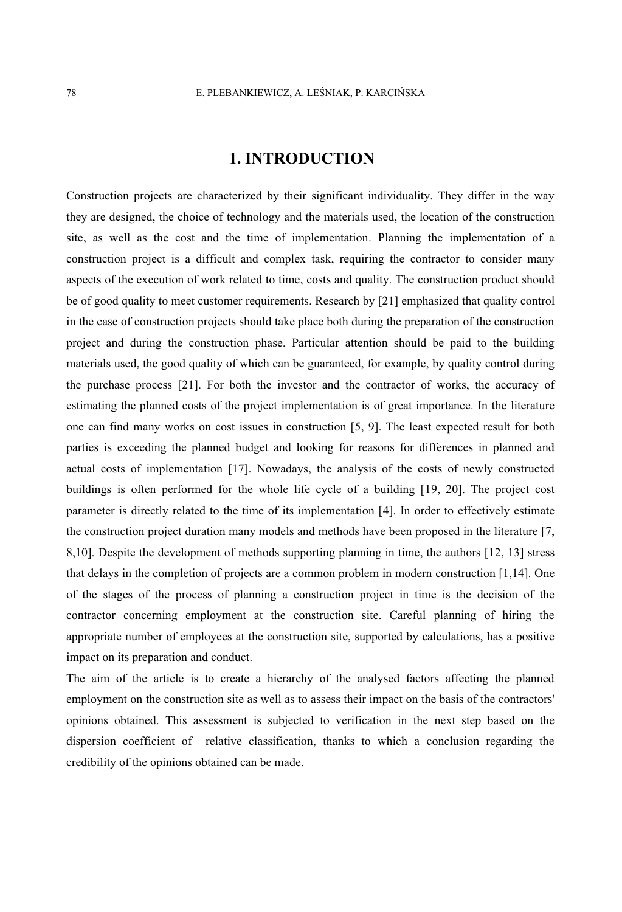### **1. INTRODUCTION**

Construction projects are characterized by their significant individuality. They differ in the way they are designed, the choice of technology and the materials used, the location of the construction site, as well as the cost and the time of implementation. Planning the implementation of a construction project is a difficult and complex task, requiring the contractor to consider many aspects of the execution of work related to time, costs and quality. The construction product should be of good quality to meet customer requirements. Research by [21] emphasized that quality control in the case of construction projects should take place both during the preparation of the construction project and during the construction phase. Particular attention should be paid to the building materials used, the good quality of which can be guaranteed, for example, by quality control during the purchase process [21]. For both the investor and the contractor of works, the accuracy of estimating the planned costs of the project implementation is of great importance. In the literature one can find many works on cost issues in construction [5, 9]. The least expected result for both parties is exceeding the planned budget and looking for reasons for differences in planned and actual costs of implementation [17]. Nowadays, the analysis of the costs of newly constructed buildings is often performed for the whole life cycle of a building [19, 20]. The project cost parameter is directly related to the time of its implementation [4]. In order to effectively estimate the construction project duration many models and methods have been proposed in the literature [7, 8,10]. Despite the development of methods supporting planning in time, the authors [12, 13] stress that delays in the completion of projects are a common problem in modern construction [1,14]. One of the stages of the process of planning a construction project in time is the decision of the contractor concerning employment at the construction site. Careful planning of hiring the appropriate number of employees at the construction site, supported by calculations, has a positive impact on its preparation and conduct.

The aim of the article is to create a hierarchy of the analysed factors affecting the planned employment on the construction site as well as to assess their impact on the basis of the contractors' opinions obtained. This assessment is subjected to verification in the next step based on the dispersion coefficient of relative classification, thanks to which a conclusion regarding the credibility of the opinions obtained can be made.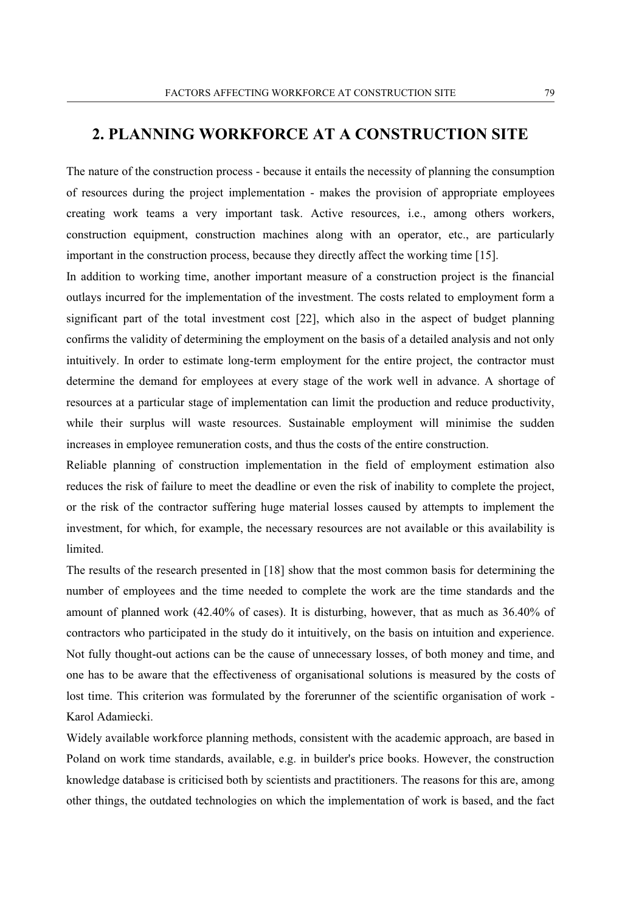# **2. PLANNING WORKFORCE AT A CONSTRUCTION SITE**

The nature of the construction process - because it entails the necessity of planning the consumption of resources during the project implementation - makes the provision of appropriate employees creating work teams a very important task. Active resources, i.e., among others workers, construction equipment, construction machines along with an operator, etc., are particularly important in the construction process, because they directly affect the working time [15].

In addition to working time, another important measure of a construction project is the financial outlays incurred for the implementation of the investment. The costs related to employment form a significant part of the total investment cost [22], which also in the aspect of budget planning confirms the validity of determining the employment on the basis of a detailed analysis and not only intuitively. In order to estimate long-term employment for the entire project, the contractor must determine the demand for employees at every stage of the work well in advance. A shortage of resources at a particular stage of implementation can limit the production and reduce productivity, while their surplus will waste resources. Sustainable employment will minimise the sudden increases in employee remuneration costs, and thus the costs of the entire construction.

Reliable planning of construction implementation in the field of employment estimation also reduces the risk of failure to meet the deadline or even the risk of inability to complete the project, or the risk of the contractor suffering huge material losses caused by attempts to implement the investment, for which, for example, the necessary resources are not available or this availability is limited.

The results of the research presented in [18] show that the most common basis for determining the number of employees and the time needed to complete the work are the time standards and the amount of planned work (42.40% of cases). It is disturbing, however, that as much as 36.40% of contractors who participated in the study do it intuitively, on the basis on intuition and experience. Not fully thought-out actions can be the cause of unnecessary losses, of both money and time, and one has to be aware that the effectiveness of organisational solutions is measured by the costs of lost time. This criterion was formulated by the forerunner of the scientific organisation of work - Karol Adamiecki.

Widely available workforce planning methods, consistent with the academic approach, are based in Poland on work time standards, available, e.g. in builder's price books. However, the construction knowledge database is criticised both by scientists and practitioners. The reasons for this are, among other things, the outdated technologies on which the implementation of work is based, and the fact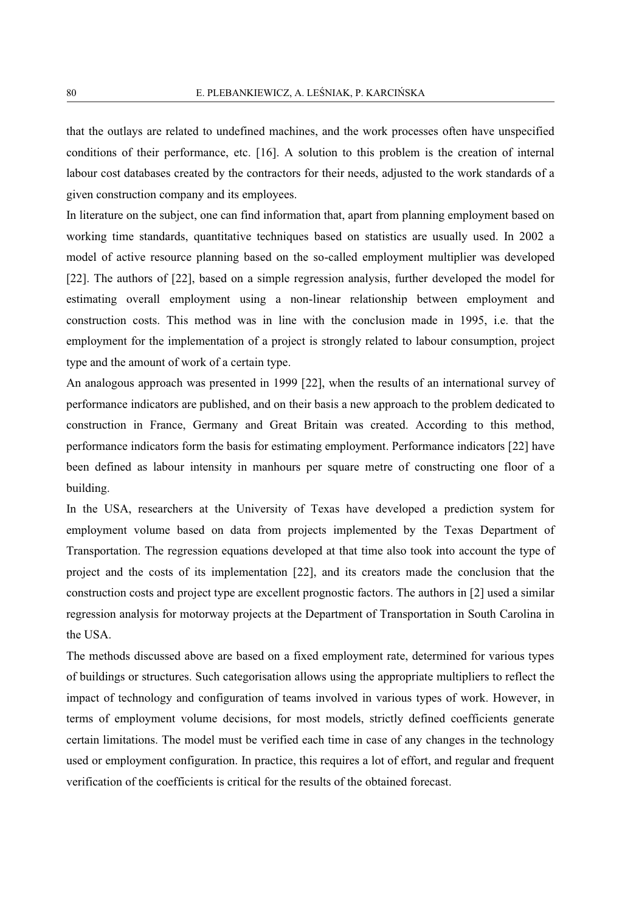that the outlays are related to undefined machines, and the work processes often have unspecified conditions of their performance, etc. [16]. A solution to this problem is the creation of internal labour cost databases created by the contractors for their needs, adjusted to the work standards of a given construction company and its employees.

In literature on the subject, one can find information that, apart from planning employment based on working time standards, quantitative techniques based on statistics are usually used. In 2002 a model of active resource planning based on the so-called employment multiplier was developed [22]. The authors of [22], based on a simple regression analysis, further developed the model for estimating overall employment using a non-linear relationship between employment and construction costs. This method was in line with the conclusion made in 1995, i.e. that the employment for the implementation of a project is strongly related to labour consumption, project type and the amount of work of a certain type.

An analogous approach was presented in 1999 [22], when the results of an international survey of performance indicators are published, and on their basis a new approach to the problem dedicated to construction in France, Germany and Great Britain was created. According to this method, performance indicators form the basis for estimating employment. Performance indicators [22] have been defined as labour intensity in manhours per square metre of constructing one floor of a building.

In the USA, researchers at the University of Texas have developed a prediction system for employment volume based on data from projects implemented by the Texas Department of Transportation. The regression equations developed at that time also took into account the type of project and the costs of its implementation [22], and its creators made the conclusion that the construction costs and project type are excellent prognostic factors. The authors in [2] used a similar regression analysis for motorway projects at the Department of Transportation in South Carolina in the USA.

The methods discussed above are based on a fixed employment rate, determined for various types of buildings or structures. Such categorisation allows using the appropriate multipliers to reflect the impact of technology and configuration of teams involved in various types of work. However, in terms of employment volume decisions, for most models, strictly defined coefficients generate certain limitations. The model must be verified each time in case of any changes in the technology used or employment configuration. In practice, this requires a lot of effort, and regular and frequent verification of the coefficients is critical for the results of the obtained forecast.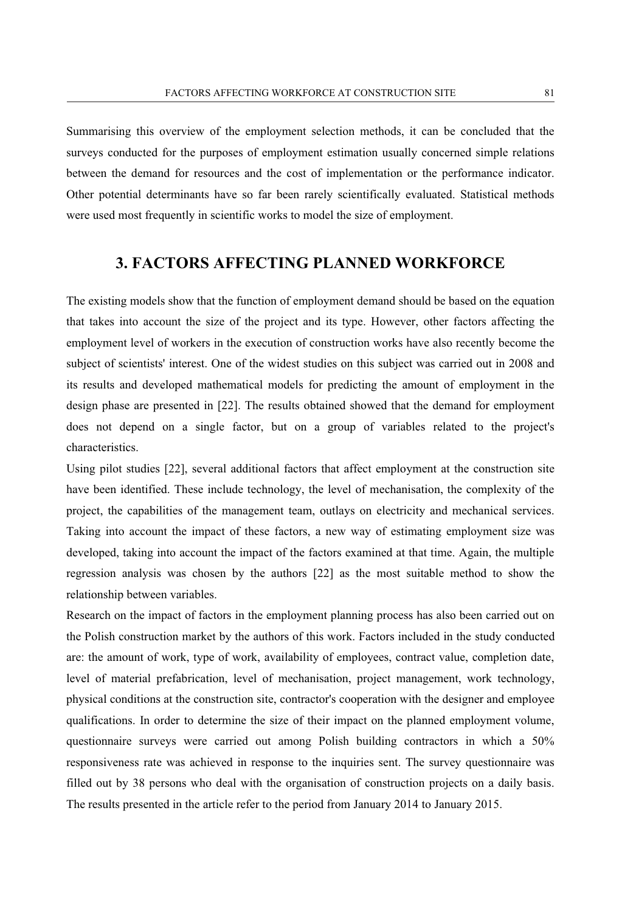Summarising this overview of the employment selection methods, it can be concluded that the surveys conducted for the purposes of employment estimation usually concerned simple relations between the demand for resources and the cost of implementation or the performance indicator. Other potential determinants have so far been rarely scientifically evaluated. Statistical methods were used most frequently in scientific works to model the size of employment.

### **3. FACTORS AFFECTING PLANNED WORKFORCE**

The existing models show that the function of employment demand should be based on the equation that takes into account the size of the project and its type. However, other factors affecting the employment level of workers in the execution of construction works have also recently become the subject of scientists' interest. One of the widest studies on this subject was carried out in 2008 and its results and developed mathematical models for predicting the amount of employment in the design phase are presented in [22]. The results obtained showed that the demand for employment does not depend on a single factor, but on a group of variables related to the project's characteristics.

Using pilot studies [22], several additional factors that affect employment at the construction site have been identified. These include technology, the level of mechanisation, the complexity of the project, the capabilities of the management team, outlays on electricity and mechanical services. Taking into account the impact of these factors, a new way of estimating employment size was developed, taking into account the impact of the factors examined at that time. Again, the multiple regression analysis was chosen by the authors [22] as the most suitable method to show the relationship between variables.

Research on the impact of factors in the employment planning process has also been carried out on the Polish construction market by the authors of this work. Factors included in the study conducted are: the amount of work, type of work, availability of employees, contract value, completion date, level of material prefabrication, level of mechanisation, project management, work technology, physical conditions at the construction site, contractor's cooperation with the designer and employee qualifications. In order to determine the size of their impact on the planned employment volume, questionnaire surveys were carried out among Polish building contractors in which a 50% responsiveness rate was achieved in response to the inquiries sent. The survey questionnaire was filled out by 38 persons who deal with the organisation of construction projects on a daily basis. The results presented in the article refer to the period from January 2014 to January 2015.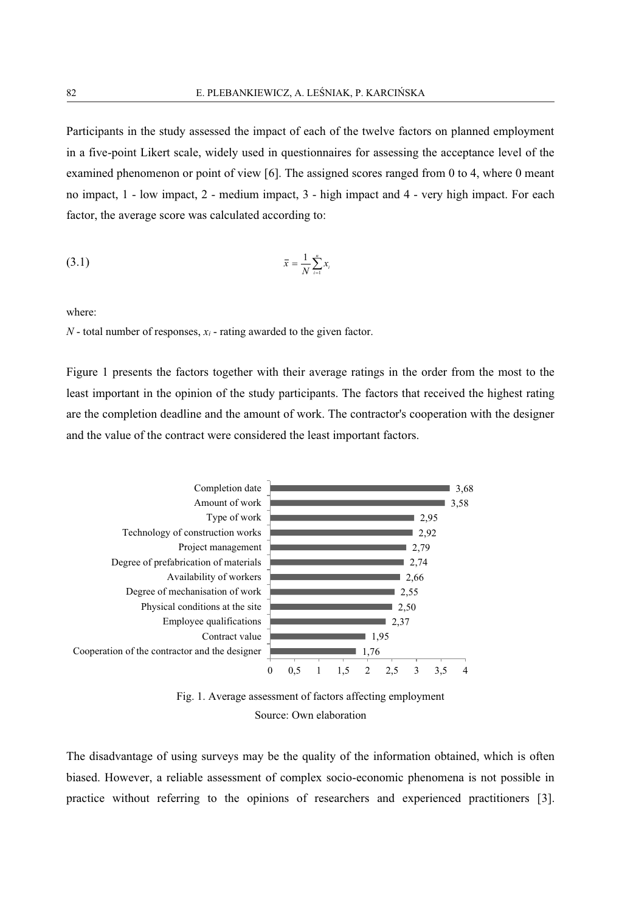Participants in the study assessed the impact of each of the twelve factors on planned employment in a five-point Likert scale, widely used in questionnaires for assessing the acceptance level of the examined phenomenon or point of view [6]. The assigned scores ranged from 0 to 4, where 0 meant no impact, 1 - low impact, 2 - medium impact, 3 - high impact and 4 - very high impact. For each factor, the average score was calculated according to:

$$
\bar{x} = \frac{1}{N} \sum_{i=1}^{n} x_i
$$

where:

*N* - total number of responses, *xi* - rating awarded to the given factor.

Figure 1 presents the factors together with their average ratings in the order from the most to the least important in the opinion of the study participants. The factors that received the highest rating are the completion deadline and the amount of work. The contractor's cooperation with the designer and the value of the contract were considered the least important factors.



Fig. 1. Average assessment of factors affecting employment Source: Own elaboration

The disadvantage of using surveys may be the quality of the information obtained, which is often biased. However, a reliable assessment of complex socio-economic phenomena is not possible in practice without referring to the opinions of researchers and experienced practitioners [3].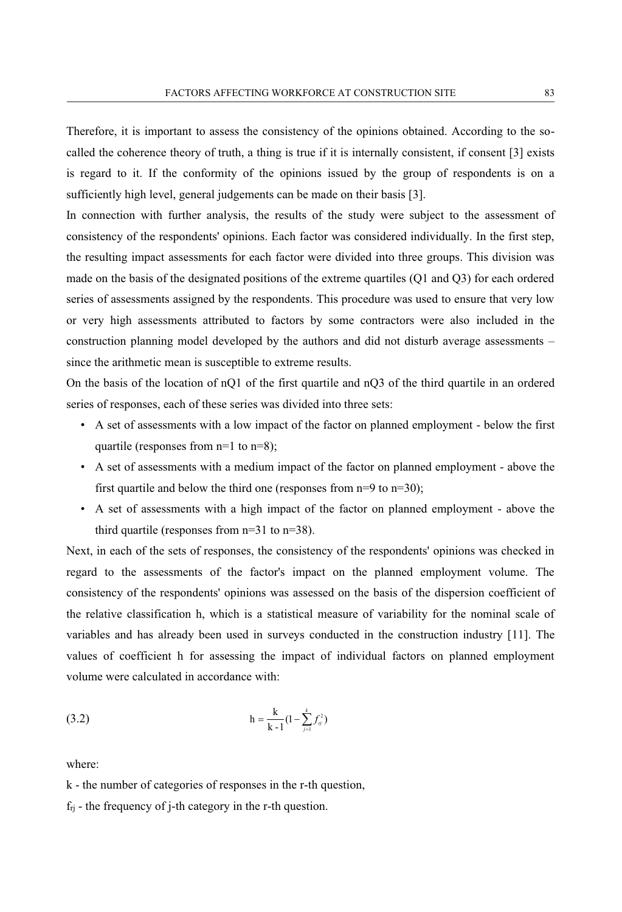Therefore, it is important to assess the consistency of the opinions obtained. According to the socalled the coherence theory of truth, a thing is true if it is internally consistent, if consent [3] exists is regard to it. If the conformity of the opinions issued by the group of respondents is on a sufficiently high level, general judgements can be made on their basis [3].

In connection with further analysis, the results of the study were subject to the assessment of consistency of the respondents' opinions. Each factor was considered individually. In the first step, the resulting impact assessments for each factor were divided into three groups. This division was made on the basis of the designated positions of the extreme quartiles (Q1 and Q3) for each ordered series of assessments assigned by the respondents. This procedure was used to ensure that very low or very high assessments attributed to factors by some contractors were also included in the construction planning model developed by the authors and did not disturb average assessments – since the arithmetic mean is susceptible to extreme results.

On the basis of the location of nQ1 of the first quartile and nQ3 of the third quartile in an ordered series of responses, each of these series was divided into three sets:

- A set of assessments with a low impact of the factor on planned employment below the first quartile (responses from n=1 to n=8);
- A set of assessments with a medium impact of the factor on planned employment above the first quartile and below the third one (responses from  $n=9$  to  $n=30$ );
- A set of assessments with a high impact of the factor on planned employment above the third quartile (responses from n=31 to n=38).

Next, in each of the sets of responses, the consistency of the respondents' opinions was checked in regard to the assessments of the factor's impact on the planned employment volume. The consistency of the respondents' opinions was assessed on the basis of the dispersion coefficient of the relative classification h, which is a statistical measure of variability for the nominal scale of variables and has already been used in surveys conducted in the construction industry [11]. The values of coefficient h for assessing the impact of individual factors on planned employment volume were calculated in accordance with:

(3.2) 
$$
h = \frac{k}{k-1} (1 - \sum_{j=1}^{k} f_j^2)
$$

where:

k - the number of categories of responses in the r-th question,

 $f_{rj}$  - the frequency of j-th category in the r-th question.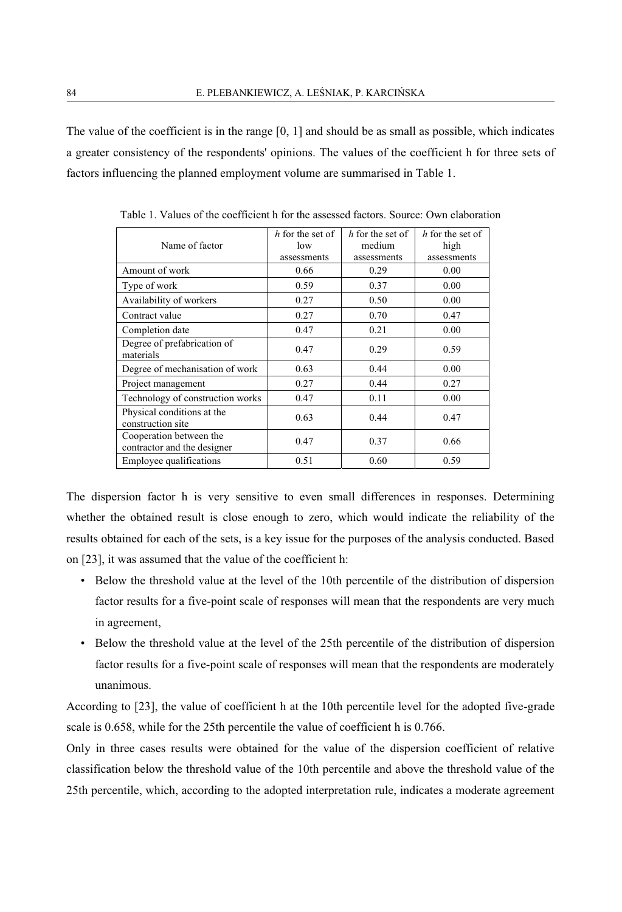The value of the coefficient is in the range [0, 1] and should be as small as possible, which indicates a greater consistency of the respondents' opinions. The values of the coefficient h for three sets of factors influencing the planned employment volume are summarised in Table 1.

|                                  | $h$ for the set of | $h$ for the set of | $h$ for the set of |  |
|----------------------------------|--------------------|--------------------|--------------------|--|
| Name of factor                   | low                | medium             | high               |  |
|                                  | assessments        | assessments        | assessments        |  |
| Amount of work                   | 0.66               | 0.29               | 0.00               |  |
| Type of work                     | 0.59               | 0.37               | 0.00               |  |
| Availability of workers          | 0.27               | 0.50               | 0.00               |  |
| Contract value                   | 0.27               | 0.70               | 0.47               |  |
| Completion date                  | 0.47               | 0.21               | 0.00               |  |
| Degree of prefabrication of      | 0.47               | 0.29               | 0.59               |  |
| materials                        |                    |                    |                    |  |
| Degree of mechanisation of work  | 0.63               | 0.44               | 0.00               |  |
| Project management               | 0.27               | 0.44               | 0.27               |  |
| Technology of construction works | 0.47               | 0.11               | 0.00               |  |
| Physical conditions at the       | 0.63               | 0.44               | 0.47               |  |
| construction site                |                    |                    |                    |  |
| Cooperation between the          | 0.47               | 0.37               | 0.66               |  |
| contractor and the designer      |                    |                    |                    |  |
| Employee qualifications          | 0.51               | 0.60               | 0.59               |  |

Table 1. Values of the coefficient h for the assessed factors. Source: Own elaboration

The dispersion factor h is very sensitive to even small differences in responses. Determining whether the obtained result is close enough to zero, which would indicate the reliability of the results obtained for each of the sets, is a key issue for the purposes of the analysis conducted. Based on [23], it was assumed that the value of the coefficient h:

- Below the threshold value at the level of the 10th percentile of the distribution of dispersion factor results for a five-point scale of responses will mean that the respondents are very much in agreement,
- Below the threshold value at the level of the 25th percentile of the distribution of dispersion factor results for a five-point scale of responses will mean that the respondents are moderately unanimous.

According to [23], the value of coefficient h at the 10th percentile level for the adopted five-grade scale is 0.658, while for the 25th percentile the value of coefficient h is 0.766.

Only in three cases results were obtained for the value of the dispersion coefficient of relative classification below the threshold value of the 10th percentile and above the threshold value of the 25th percentile, which, according to the adopted interpretation rule, indicates a moderate agreement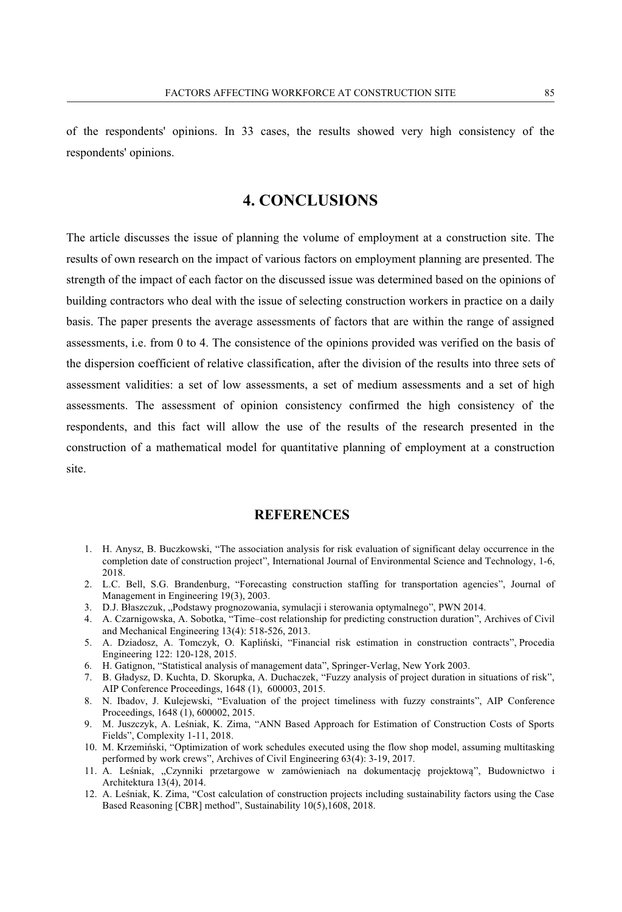of the respondents' opinions. In 33 cases, the results showed very high consistency of the respondents' opinions.

# **4. CONCLUSIONS**

The article discusses the issue of planning the volume of employment at a construction site. The results of own research on the impact of various factors on employment planning are presented. The strength of the impact of each factor on the discussed issue was determined based on the opinions of building contractors who deal with the issue of selecting construction workers in practice on a daily basis. The paper presents the average assessments of factors that are within the range of assigned assessments, i.e. from 0 to 4. The consistence of the opinions provided was verified on the basis of the dispersion coefficient of relative classification, after the division of the results into three sets of assessment validities: a set of low assessments, a set of medium assessments and a set of high assessments. The assessment of opinion consistency confirmed the high consistency of the respondents, and this fact will allow the use of the results of the research presented in the construction of a mathematical model for quantitative planning of employment at a construction site.

### **REFERENCES**

- 1. H. Anysz, B. Buczkowski, "The association analysis for risk evaluation of significant delay occurrence in the completion date of construction project", International Journal of Environmental Science and Technology, 1-6, 2018.
- 2. L.C. Bell, S.G. Brandenburg, "Forecasting construction staffing for transportation agencies", Journal of Management in Engineering 19(3), 2003.
- 3. D.J. Błaszczuk, "Podstawy prognozowania, symulacji i sterowania optymalnego", PWN 2014.
- 4. A. Czarnigowska, A. Sobotka, "Time–cost relationship for predicting construction duration", Archives of Civil and Mechanical Engineering 13(4): 518-526, 2013.
- 5. A. Dziadosz, A. Tomczyk, O. Kapliński, "Financial risk estimation in construction contracts", Procedia Engineering 122: 120-128, 2015.
- 6. H. Gatignon, "Statistical analysis of management data", Springer-Verlag, New York 2003.
- 7. B. Gładysz, D. Kuchta, D. Skorupka, A. Duchaczek, "Fuzzy analysis of project duration in situations of risk", AIP Conference Proceedings, 1648 (1), 600003, 2015.
- 8. N. Ibadov, J. Kulejewski, "Evaluation of the project timeliness with fuzzy constraints", AIP Conference Proceedings, 1648 (1), 600002, 2015.
- 9. M. Juszczyk, A. Leśniak, K. Zima, "ANN Based Approach for Estimation of Construction Costs of Sports Fields", Complexity 1-11, 2018.
- 10. M. Krzemiński, "Optimization of work schedules executed using the flow shop model, assuming multitasking performed by work crews", Archives of Civil Engineering 63(4): 3-19, 2017.
- 11. A. Leśniak, "Czynniki przetargowe w zamówieniach na dokumentację projektową", Budownictwo i Architektura 13(4), 2014.
- 12. A. Leśniak, K. Zima, "Cost calculation of construction projects including sustainability factors using the Case Based Reasoning [CBR] method", Sustainability 10(5), 1608, 2018.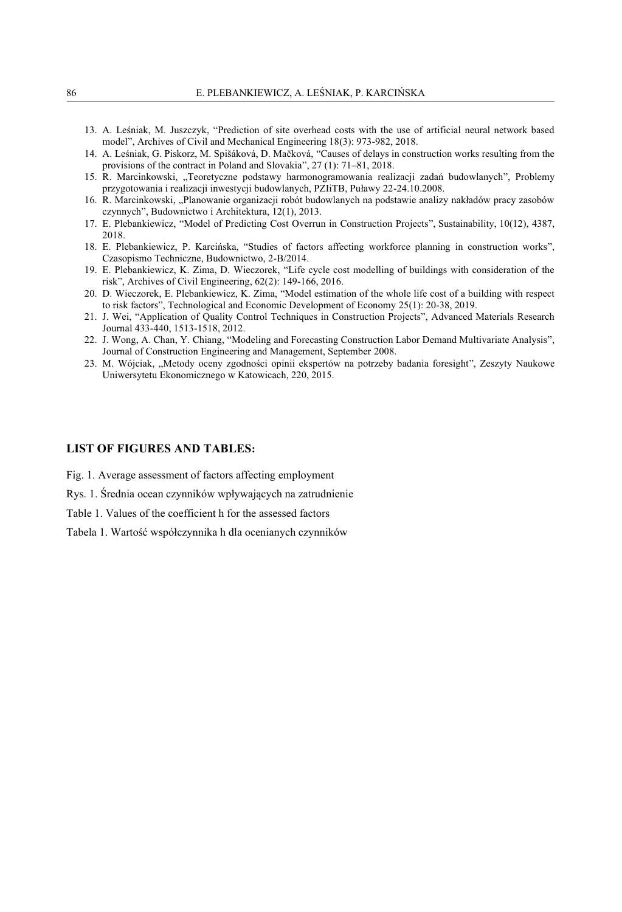- 13. A. Leśniak, M. Juszczyk, "Prediction of site overhead costs with the use of artificial neural network based model", Archives of Civil and Mechanical Engineering 18(3): 973-982, 2018.
- 14. A. Leśniak, G. Piskorz, M. Spišáková, D. Mačková, "Causes of delays in construction works resulting from the provisions of the contract in Poland and Slovakia", 27 (1): 71–81, 2018.
- 15. R. Marcinkowski, "Teoretyczne podstawy harmonogramowania realizacji zadań budowlanych", Problemy przygotowania i realizacji inwestycji budowlanych, PZIiTB, Puławy 22-24.10.2008.
- 16. R. Marcinkowski, "Planowanie organizacji robót budowlanych na podstawie analizy nakładów pracy zasobów czynnych", Budownictwo i Architektura, 12(1), 2013.
- 17. E. Plebankiewicz, "Model of Predicting Cost Overrun in Construction Projects", Sustainability, 10(12), 4387, 2018.
- 18. E. Plebankiewicz, P. Karcińska, "Studies of factors affecting workforce planning in construction works", Czasopismo Techniczne, Budownictwo, 2-B/2014.
- 19. E. Plebankiewicz, K. Zima, D. Wieczorek, "Life cycle cost modelling of buildings with consideration of the risk", Archives of Civil Engineering, 62(2): 149-166, 2016.
- 20. D. Wieczorek, E. Plebankiewicz, K. Zima, "Model estimation of the whole life cost of a building with respect to risk factors", Technological and Economic Development of Economy 25(1): 20-38, 2019.
- 21. J. Wei, "Application of Quality Control Techniques in Construction Projects", Advanced Materials Research Journal 433-440, 1513-1518, 2012.
- 22. J. Wong, A. Chan, Y. Chiang, "Modeling and Forecasting Construction Labor Demand Multivariate Analysis", Journal of Construction Engineering and Management, September 2008.
- 23. M. Wójciak, "Metody oceny zgodności opinii ekspertów na potrzeby badania foresight", Zeszyty Naukowe Uniwersytetu Ekonomicznego w Katowicach, 220, 2015.

#### **LIST OF FIGURES AND TABLES:**

Fig. 1. Average assessment of factors affecting employment

Rys. 1. Średnia ocean czynników wpływających na zatrudnienie

Table 1. Values of the coefficient h for the assessed factors

Tabela 1. Wartość współczynnika h dla ocenianych czynników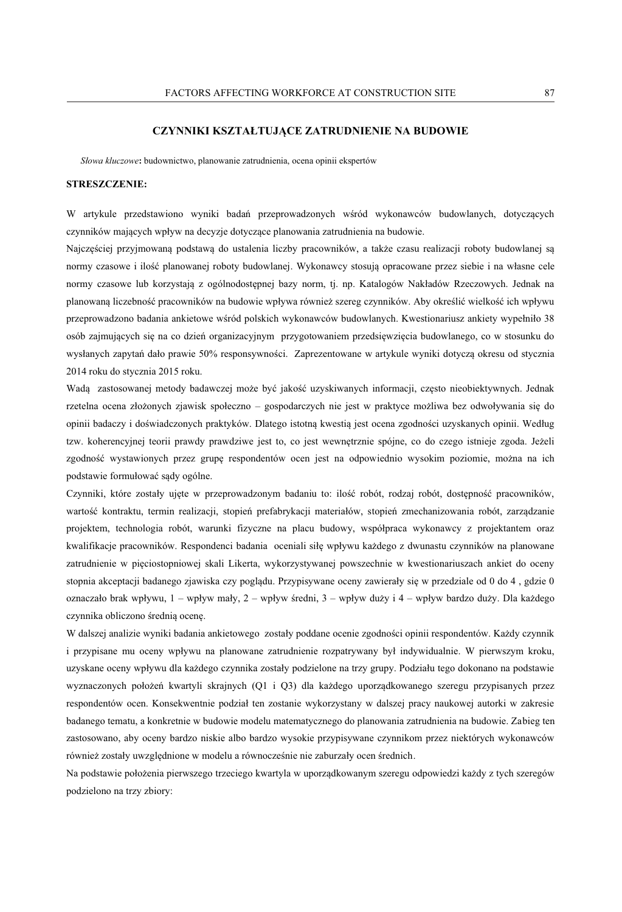#### **CZYNNIKI KSZTAŁTUJĄCE ZATRUDNIENIE NA BUDOWIE**

*Słowa kluczowe***:** budownictwo, planowanie zatrudnienia, ocena opinii ekspertów

#### **STRESZCZENIE:**

W artykule przedstawiono wyniki badań przeprowadzonych wśród wykonawców budowlanych, dotyczących czynników mających wpływ na decyzje dotyczące planowania zatrudnienia na budowie.

Najczęściej przyjmowaną podstawą do ustalenia liczby pracowników, a także czasu realizacji roboty budowlanej są normy czasowe i ilość planowanej roboty budowlanej. Wykonawcy stosują opracowane przez siebie i na własne cele normy czasowe lub korzystają z ogólnodostępnej bazy norm, tj. np. Katalogów Nakładów Rzeczowych. Jednak na planowaną liczebność pracowników na budowie wpływa również szereg czynników. Aby określić wielkość ich wpływu przeprowadzono badania ankietowe wśród polskich wykonawców budowlanych. Kwestionariusz ankiety wypełniło 38 osób zajmujących się na co dzień organizacyjnym przygotowaniem przedsięwzięcia budowlanego, co w stosunku do wysłanych zapytań dało prawie 50% responsywności. Zaprezentowane w artykule wyniki dotyczą okresu od stycznia 2014 roku do stycznia 2015 roku.

Wadą zastosowanej metody badawczej może być jakość uzyskiwanych informacji, często nieobiektywnych. Jednak rzetelna ocena złożonych zjawisk społeczno – gospodarczych nie jest w praktyce możliwa bez odwoływania się do opinii badaczy i doświadczonych praktyków. Dlatego istotną kwestią jest ocena zgodności uzyskanych opinii. Według tzw. koherencyjnej teorii prawdy prawdziwe jest to, co jest wewnętrznie spójne, co do czego istnieje zgoda. Jeżeli zgodność wystawionych przez grupę respondentów ocen jest na odpowiednio wysokim poziomie, można na ich podstawie formułować sądy ogólne.

Czynniki, które zostały ujęte w przeprowadzonym badaniu to: ilość robót, rodzaj robót, dostępność pracowników, wartość kontraktu, termin realizacji, stopień prefabrykacji materiałów, stopień zmechanizowania robót, zarządzanie projektem, technologia robót, warunki fizyczne na placu budowy, współpraca wykonawcy z projektantem oraz kwalifikacje pracowników. Respondenci badania oceniali siłę wpływu każdego z dwunastu czynników na planowane zatrudnienie w pięciostopniowej skali Likerta, wykorzystywanej powszechnie w kwestionariuszach ankiet do oceny stopnia akceptacji badanego zjawiska czy poglądu. Przypisywane oceny zawierały się w przedziale od 0 do 4 , gdzie 0 oznaczało brak wpływu, 1 – wpływ mały, 2 – wpływ średni, 3 – wpływ duży i 4 – wpływ bardzo duży. Dla każdego czynnika obliczono średnią ocenę.

W dalszej analizie wyniki badania ankietowego zostały poddane ocenie zgodności opinii respondentów. Każdy czynnik i przypisane mu oceny wpływu na planowane zatrudnienie rozpatrywany był indywidualnie. W pierwszym kroku, uzyskane oceny wpływu dla każdego czynnika zostały podzielone na trzy grupy. Podziału tego dokonano na podstawie wyznaczonych położeń kwartyli skrajnych (Q1 i Q3) dla każdego uporządkowanego szeregu przypisanych przez respondentów ocen. Konsekwentnie podział ten zostanie wykorzystany w dalszej pracy naukowej autorki w zakresie badanego tematu, a konkretnie w budowie modelu matematycznego do planowania zatrudnienia na budowie. Zabieg ten zastosowano, aby oceny bardzo niskie albo bardzo wysokie przypisywane czynnikom przez niektórych wykonawców również zostały uwzględnione w modelu a równocześnie nie zaburzały ocen średnich.

Na podstawie położenia pierwszego trzeciego kwartyla w uporządkowanym szeregu odpowiedzi każdy z tych szeregów podzielono na trzy zbiory: